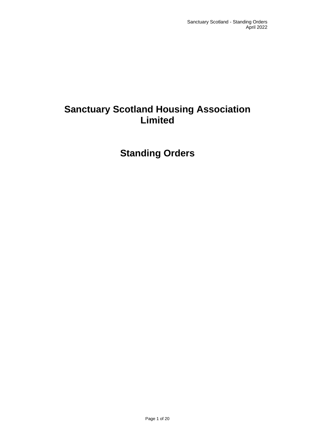# **Sanctuary Scotland Housing Association Limited**

**Standing Orders**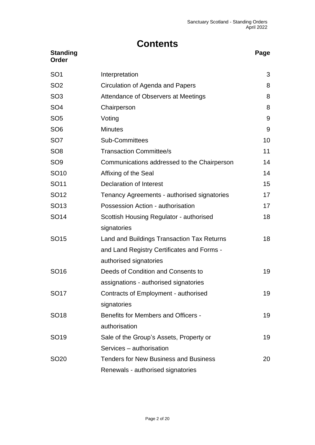## **Contents**

### **Standing Order Page** SO1 Interpretation 3 SO2 Circulation of Agenda and Papers 8 SO3 Attendance of Observers at Meetings 8 SO4 Chairperson 8 SO5 Voting 9 SO6 Minutes 9 SO7 Sub-Committees 10 SO8 Transaction Committee/s 11 SO9 **Communications addressed to the Chairperson** 14 SO10 Affixing of the Seal 14 SO11 Declaration of Interest 15 SO12 Tenancy Agreements - authorised signatories 17 SO13 Possession Action - authorisation 17 SO14 Scottish Housing Regulator - authorised signatories 18 SO15 Land and Buildings Transaction Tax Returns and Land Registry Certificates and Forms authorised signatories 18 SO16 Deeds of Condition and Consents to assignations - authorised signatories 19 SO17 Contracts of Employment - authorised signatories 19 SO18 Benefits for Members and Officers authorisation 19 SO19 Sale of the Group's Assets, Property or Services – authorisation 19 SO20 Tenders for New Business and Business Renewals - authorised signatories 20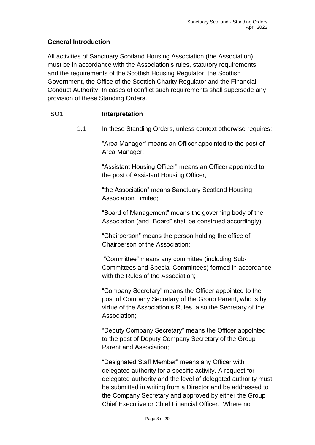#### **General Introduction**

All activities of Sanctuary Scotland Housing Association (the Association) must be in accordance with the Association's rules, statutory requirements and the requirements of the Scottish Housing Regulator, the Scottish Government, the Office of the Scottish Charity Regulator and the Financial Conduct Authority. In cases of conflict such requirements shall supersede any provision of these Standing Orders.

#### SO1 **Interpretation**

1.1 In these Standing Orders, unless context otherwise requires:

"Area Manager" means an Officer appointed to the post of Area Manager;

"Assistant Housing Officer" means an Officer appointed to the post of Assistant Housing Officer;

"the Association" means Sanctuary Scotland Housing Association Limited;

"Board of Management" means the governing body of the Association (and "Board" shall be construed accordingly);

"Chairperson" means the person holding the office of Chairperson of the Association;

"Committee" means any committee (including Sub-Committees and Special Committees) formed in accordance with the Rules of the Association;

"Company Secretary" means the Officer appointed to the post of Company Secretary of the Group Parent, who is by virtue of the Association's Rules, also the Secretary of the Association;

"Deputy Company Secretary" means the Officer appointed to the post of Deputy Company Secretary of the Group Parent and Association;

"Designated Staff Member" means any Officer with delegated authority for a specific activity. A request for delegated authority and the level of delegated authority must be submitted in writing from a Director and be addressed to the Company Secretary and approved by either the Group Chief Executive or Chief Financial Officer. Where no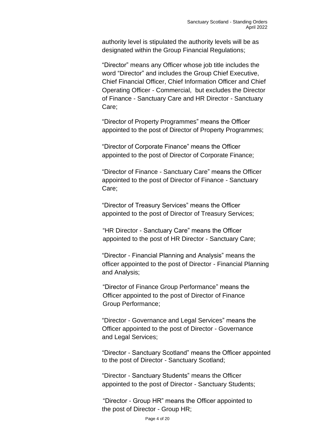authority level is stipulated the authority levels will be as designated within the Group Financial Regulations;

"Director" means any Officer whose job title includes the word "Director" and includes the Group Chief Executive, Chief Financial Officer, Chief Information Officer and Chief Operating Officer - Commercial, but excludes the Director of Finance - Sanctuary Care and HR Director - Sanctuary Care;

"Director of Property Programmes" means the Officer appointed to the post of Director of Property Programmes;

"Director of Corporate Finance" means the Officer appointed to the post of Director of Corporate Finance;

"Director of Finance - Sanctuary Care" means the Officer appointed to the post of Director of Finance - Sanctuary Care<sup>:</sup>

"Director of Treasury Services" means the Officer appointed to the post of Director of Treasury Services;

"HR Director - Sanctuary Care" means the Officer appointed to the post of HR Director - Sanctuary Care;

"Director - Financial Planning and Analysis" means the officer appointed to the post of Director - Financial Planning and Analysis;

"Director of Finance Group Performance" means the Officer appointed to the post of Director of Finance Group Performance;

"Director - Governance and Legal Services" means the Officer appointed to the post of Director - Governance and Legal Services;

"Director - Sanctuary Scotland" means the Officer appointed to the post of Director - Sanctuary Scotland;

"Director - Sanctuary Students" means the Officer appointed to the post of Director - Sanctuary Students;

"Director - Group HR" means the Officer appointed to the post of Director - Group HR;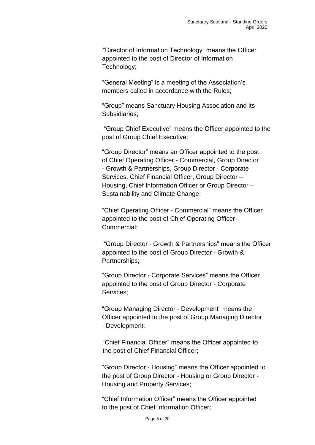"Director of Information Technology" means the Officer appointed to the post of Director of Information Technology;

"General Meeting" is a meeting of the Association's members called in accordance with the Rules;

"Group" means Sanctuary Housing Association and its Subsidiaries;

"Group Chief Executive" means the Officer appointed to the post of Group Chief Executive;

"Group Director" means an Officer appointed to the post of Chief Operating Officer - Commercial, Group Director - Growth & Partnerships, Group Director - Corporate Services, Chief Financial Officer, Group Director – Housing, Chief Information Officer or Group Director – Sustainability and Climate Change;

"Chief Operating Officer - Commercial" means the Officer appointed to the post of Chief Operating Officer - Commercial;

"Group Director - Growth & Partnerships" means the Officer appointed to the post of Group Director - Growth & Partnerships;

"Group Director - Corporate Services" means the Officer appointed to the post of Group Director - Corporate Services;

"Group Managing Director - Development" means the Officer appointed to the post of Group Managing Director - Development;

"Chief Financial Officer" means the Officer appointed to the post of Chief Financial Officer;

"Group Director - Housing" means the Officer appointed to the post of Group Director - Housing or Group Director - Housing and Property Services;

"Chief Information Officer" means the Officer appointed to the post of Chief Information Officer;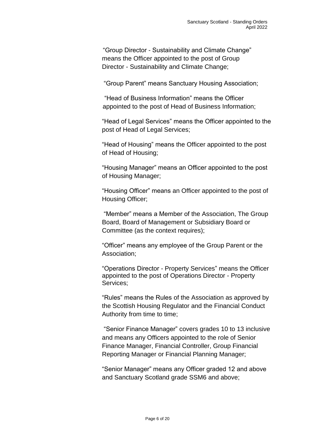"Group Director - Sustainability and Climate Change" means the Officer appointed to the post of Group Director - Sustainability and Climate Change;

"Group Parent" means Sanctuary Housing Association;

"Head of Business Information" means the Officer appointed to the post of Head of Business Information;

"Head of Legal Services" means the Officer appointed to the post of Head of Legal Services;

"Head of Housing" means the Officer appointed to the post of Head of Housing;

"Housing Manager" means an Officer appointed to the post of Housing Manager;

"Housing Officer" means an Officer appointed to the post of Housing Officer;

"Member" means a Member of the Association, The Group Board, Board of Management or Subsidiary Board or Committee (as the context requires);

"Officer" means any employee of the Group Parent or the Association;

"Operations Director - Property Services" means the Officer appointed to the post of Operations Director - Property Services;

"Rules" means the Rules of the Association as approved by the Scottish Housing Regulator and the Financial Conduct Authority from time to time;

"Senior Finance Manager" covers grades 10 to 13 inclusive and means any Officers appointed to the role of Senior Finance Manager, Financial Controller, Group Financial Reporting Manager or Financial Planning Manager;

"Senior Manager" means any Officer graded 12 and above and Sanctuary Scotland grade SSM6 and above;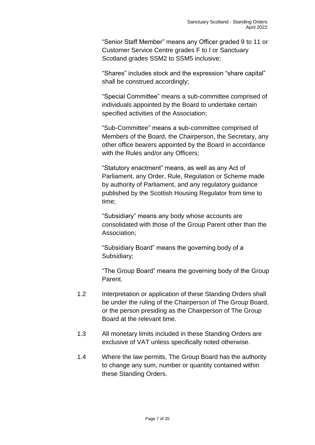"Senior Staff Member" means any Officer graded 9 to 11 or Customer Service Centre grades F to I or Sanctuary Scotland grades SSM2 to SSM5 inclusive;

"Shares" includes stock and the expression "share capital" shall be construed accordingly;

"Special Committee" means a sub-committee comprised of individuals appointed by the Board to undertake certain specified activities of the Association;

"Sub-Committee" means a sub-committee comprised of Members of the Board, the Chairperson, the Secretary, any other office bearers appointed by the Board in accordance with the Rules and/or any Officers;

"Statutory enactment" means, as well as any Act of Parliament, any Order, Rule, Regulation or Scheme made by authority of Parliament, and any regulatory guidance published by the Scottish Housing Regulator from time to time;

"Subsidiary" means any body whose accounts are consolidated with those of the Group Parent other than the Association;

"Subsidiary Board" means the governing body of a Subsidiary;

"The Group Board" means the governing body of the Group Parent.

- 1.2 Interpretation or application of these Standing Orders shall be under the ruling of the Chairperson of The Group Board, or the person presiding as the Chairperson of The Group Board at the relevant time.
- 1.3 All monetary limits included in these Standing Orders are exclusive of VAT unless specifically noted otherwise.
- 1.4 Where the law permits, The Group Board has the authority to change any sum, number or quantity contained within these Standing Orders.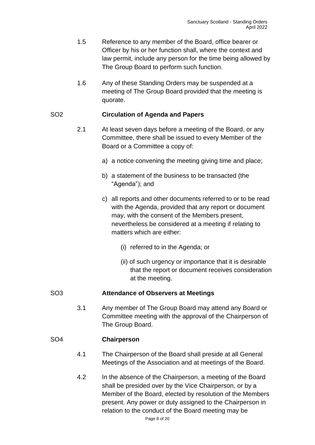- 1.5 Reference to any member of the Board, office bearer or Officer by his or her function shall, where the context and law permit, include any person for the time being allowed by The Group Board to perform such function.
- 1.6 Any of these Standing Orders may be suspended at a meeting of The Group Board provided that the meeting is quorate.

#### SO2 **Circulation of Agenda and Papers**

- 2.1 At least seven days before a meeting of the Board, or any Committee, there shall be issued to every Member of the Board or a Committee a copy of:
	- a) a notice convening the meeting giving time and place;
	- b) a statement of the business to be transacted (the "Agenda"); and
	- c) all reports and other documents referred to or to be read with the Agenda, provided that any report or document may, with the consent of the Members present, nevertheless be considered at a meeting if relating to matters which are either:
		- (i) referred to in the Agenda; or
		- (ii) of such urgency or importance that it is desirable that the report or document receives consideration at the meeting.

#### SO3 **Attendance of Observers at Meetings**

3.1 Any member of The Group Board may attend any Board or Committee meeting with the approval of the Chairperson of The Group Board.

#### SO4 **Chairperson**

- 4.1 The Chairperson of the Board shall preside at all General Meetings of the Association and at meetings of the Board.
- 4.2 In the absence of the Chairperson, a meeting of the Board shall be presided over by the Vice Chairperson, or by a Member of the Board, elected by resolution of the Members present. Any power or duty assigned to the Chairperson in relation to the conduct of the Board meeting may be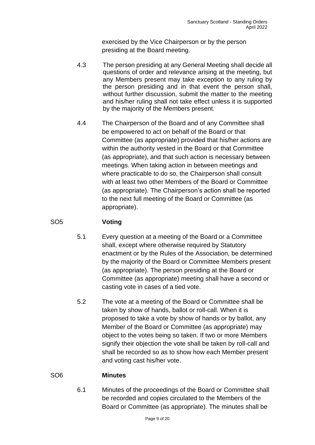exercised by the Vice Chairperson or by the person presiding at the Board meeting.

- 4.3 The person presiding at any General Meeting shall decide all questions of order and relevance arising at the meeting, but any Members present may take exception to any ruling by the person presiding and in that event the person shall, without further discussion, submit the matter to the meeting and his/her ruling shall not take effect unless it is supported by the majority of the Members present.
- 4.4 The Chairperson of the Board and of any Committee shall be empowered to act on behalf of the Board or that Committee (as appropriate) provided that his/her actions are within the authority vested in the Board or that Committee (as appropriate), and that such action is necessary between meetings. When taking action in between meetings and where practicable to do so, the Chairperson shall consult with at least two other Members of the Board or Committee (as appropriate). The Chairperson's action shall be reported to the next full meeting of the Board or Committee (as appropriate).

#### SO5 **Voting**

- 5.1 Every question at a meeting of the Board or a Committee shall, except where otherwise required by Statutory enactment or by the Rules of the Association, be determined by the majority of the Board or Committee Members present (as appropriate). The person presiding at the Board or Committee (as appropriate) meeting shall have a second or casting vote in cases of a tied vote.
- 5.2 The vote at a meeting of the Board or Committee shall be taken by show of hands, ballot or roll-call. When it is proposed to take a vote by show of hands or by ballot, any Member of the Board or Committee (as appropriate) may object to the votes being so taken. If two or more Members signify their objection the vote shall be taken by roll-call and shall be recorded so as to show how each Member present and voting cast his/her vote.

#### SO6 **Minutes**

6.1 Minutes of the proceedings of the Board or Committee shall be recorded and copies circulated to the Members of the Board or Committee (as appropriate). The minutes shall be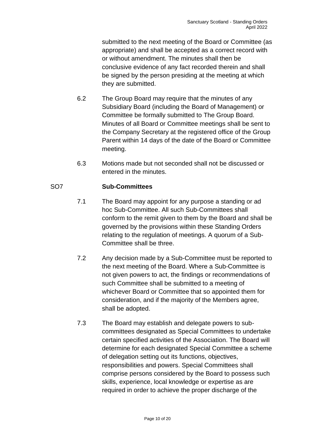submitted to the next meeting of the Board or Committee (as appropriate) and shall be accepted as a correct record with or without amendment. The minutes shall then be conclusive evidence of any fact recorded therein and shall be signed by the person presiding at the meeting at which they are submitted.

- 6.2 The Group Board may require that the minutes of any Subsidiary Board (including the Board of Management) or Committee be formally submitted to The Group Board. Minutes of all Board or Committee meetings shall be sent to the Company Secretary at the registered office of the Group Parent within 14 days of the date of the Board or Committee meeting.
- 6.3 Motions made but not seconded shall not be discussed or entered in the minutes.

#### SO7 **Sub-Committees**

- 7.1 The Board may appoint for any purpose a standing or ad hoc Sub-Committee. All such Sub-Committees shall conform to the remit given to them by the Board and shall be governed by the provisions within these Standing Orders relating to the regulation of meetings. A quorum of a Sub-Committee shall be three.
- 7.2 Any decision made by a Sub-Committee must be reported to the next meeting of the Board. Where a Sub-Committee is not given powers to act, the findings or recommendations of such Committee shall be submitted to a meeting of whichever Board or Committee that so appointed them for consideration, and if the majority of the Members agree, shall be adopted.
- 7.3 The Board may establish and delegate powers to subcommittees designated as Special Committees to undertake certain specified activities of the Association. The Board will determine for each designated Special Committee a scheme of delegation setting out its functions, objectives, responsibilities and powers. Special Committees shall comprise persons considered by the Board to possess such skills, experience, local knowledge or expertise as are required in order to achieve the proper discharge of the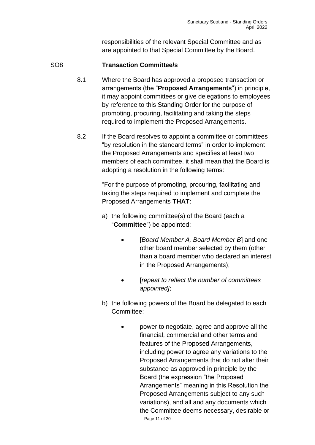responsibilities of the relevant Special Committee and as are appointed to that Special Committee by the Board.

### SO8 **Transaction Committee/s**

- 8.1 Where the Board has approved a proposed transaction or arrangements (the "**Proposed Arrangements**") in principle, it may appoint committees or give delegations to employees by reference to this Standing Order for the purpose of promoting, procuring, facilitating and taking the steps required to implement the Proposed Arrangements.
- 8.2 If the Board resolves to appoint a committee or committees "by resolution in the standard terms" in order to implement the Proposed Arrangements and specifies at least two members of each committee, it shall mean that the Board is adopting a resolution in the following terms:

"For the purpose of promoting, procuring, facilitating and taking the steps required to implement and complete the Proposed Arrangements **THAT**:

- a) the following committee(s) of the Board (each a "**Committee**") be appointed:
	- [*Board Member A, Board Member B*] and one other board member selected by them (other than a board member who declared an interest in the Proposed Arrangements);
	- [*repeat to reflect the number of committees appointed]*;
- b) the following powers of the Board be delegated to each Committee:
	- power to negotiate, agree and approve all the financial, commercial and other terms and features of the Proposed Arrangements, including power to agree any variations to the Proposed Arrangements that do not alter their substance as approved in principle by the Board (the expression "the Proposed Arrangements" meaning in this Resolution the Proposed Arrangements subject to any such variations), and all and any documents which the Committee deems necessary, desirable or

Page 11 of 20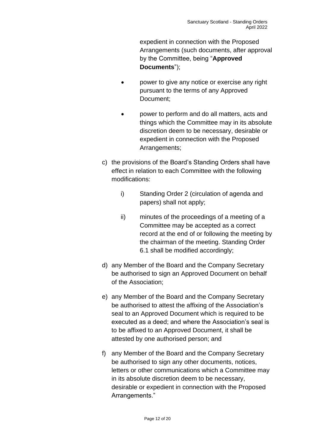expedient in connection with the Proposed Arrangements (such documents, after approval by the Committee, being "**Approved Documents**");

- power to give any notice or exercise any right pursuant to the terms of any Approved Document;
- power to perform and do all matters, acts and things which the Committee may in its absolute discretion deem to be necessary, desirable or expedient in connection with the Proposed Arrangements;
- c) the provisions of the Board's Standing Orders shall have effect in relation to each Committee with the following modifications:
	- i) Standing Order 2 (circulation of agenda and papers) shall not apply;
	- ii) minutes of the proceedings of a meeting of a Committee may be accepted as a correct record at the end of or following the meeting by the chairman of the meeting. Standing Order 6.1 shall be modified accordingly;
- d) any Member of the Board and the Company Secretary be authorised to sign an Approved Document on behalf of the Association;
- e) any Member of the Board and the Company Secretary be authorised to attest the affixing of the Association's seal to an Approved Document which is required to be executed as a deed; and where the Association's seal is to be affixed to an Approved Document, it shall be attested by one authorised person; and
- f) any Member of the Board and the Company Secretary be authorised to sign any other documents, notices, letters or other communications which a Committee may in its absolute discretion deem to be necessary, desirable or expedient in connection with the Proposed Arrangements."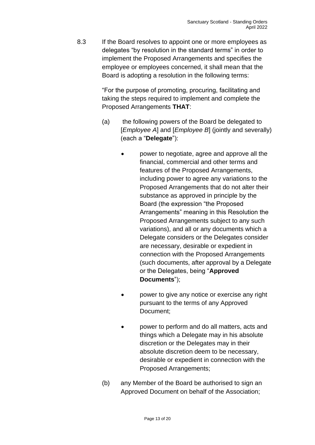8.3 If the Board resolves to appoint one or more employees as delegates "by resolution in the standard terms" in order to implement the Proposed Arrangements and specifies the employee or employees concerned, it shall mean that the Board is adopting a resolution in the following terms:

> "For the purpose of promoting, procuring, facilitating and taking the steps required to implement and complete the Proposed Arrangements **THAT**:

- (a) the following powers of the Board be delegated to [*Employee A*] and [*Employee B*] (jointly and severally) (each a "**Delegate**"):
	- power to negotiate, agree and approve all the financial, commercial and other terms and features of the Proposed Arrangements, including power to agree any variations to the Proposed Arrangements that do not alter their substance as approved in principle by the Board (the expression "the Proposed Arrangements" meaning in this Resolution the Proposed Arrangements subject to any such variations), and all or any documents which a Delegate considers or the Delegates consider are necessary, desirable or expedient in connection with the Proposed Arrangements (such documents, after approval by a Delegate or the Delegates, being "**Approved Documents**");
	- power to give any notice or exercise any right pursuant to the terms of any Approved Document;
	- power to perform and do all matters, acts and things which a Delegate may in his absolute discretion or the Delegates may in their absolute discretion deem to be necessary, desirable or expedient in connection with the Proposed Arrangements;
- (b) any Member of the Board be authorised to sign an Approved Document on behalf of the Association;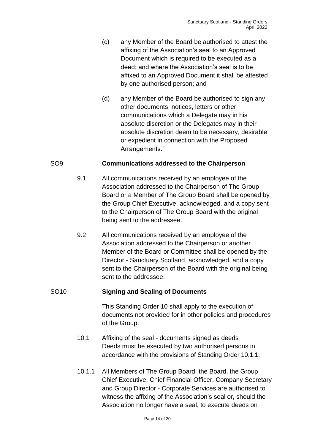- (c) any Member of the Board be authorised to attest the affixing of the Association's seal to an Approved Document which is required to be executed as a deed; and where the Association's seal is to be affixed to an Approved Document it shall be attested by one authorised person; and
- (d) any Member of the Board be authorised to sign any other documents, notices, letters or other communications which a Delegate may in his absolute discretion or the Delegates may in their absolute discretion deem to be necessary, desirable or expedient in connection with the Proposed Arrangements."

#### SO9 **Communications addressed to the Chairperson**

- 9.1 All communications received by an employee of the Association addressed to the Chairperson of The Group Board or a Member of The Group Board shall be opened by the Group Chief Executive, acknowledged, and a copy sent to the Chairperson of The Group Board with the original being sent to the addressee.
- 9.2 All communications received by an employee of the Association addressed to the Chairperson or another Member of the Board or Committee shall be opened by the Director - Sanctuary Scotland, acknowledged, and a copy sent to the Chairperson of the Board with the original being sent to the addressee.

#### SO10 **Signing and Sealing of Documents**

This Standing Order 10 shall apply to the execution of documents not provided for in other policies and procedures of the Group.

- 10.1 Affixing of the seal - documents signed as deeds Deeds must be executed by two authorised persons in accordance with the provisions of Standing Order 10.1.1.
- 10.1.1 All Members of The Group Board, the Board, the Group Chief Executive, Chief Financial Officer, Company Secretary and Group Director - Corporate Services are authorised to witness the affixing of the Association's seal or, should the Association no longer have a seal, to execute deeds on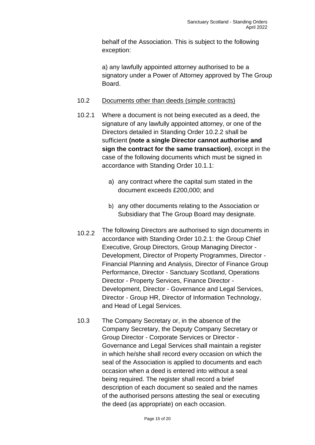behalf of the Association. This is subject to the following exception:

a) any lawfully appointed attorney authorised to be a signatory under a Power of Attorney approved by The Group Board.

#### 10.2 Documents other than deeds (simple contracts)

- 10.2.1 Where a document is not being executed as a deed, the signature of any lawfully appointed attorney, or one of the Directors detailed in Standing Order 10.2.2 shall be sufficient **(note a single Director cannot authorise and sign the contract for the same transaction)**, except in the case of the following documents which must be signed in accordance with Standing Order 10.1.1:
	- a) any contract where the capital sum stated in the document exceeds £200,000; and
	- b) any other documents relating to the Association or Subsidiary that The Group Board may designate.
- 10.2.2 The following Directors are authorised to sign documents in accordance with Standing Order 10.2.1: the Group Chief Executive, Group Directors, Group Managing Director - Development, Director of Property Programmes, Director - Financial Planning and Analysis, Director of Finance Group Performance, Director - Sanctuary Scotland, Operations Director - Property Services, Finance Director - Development, Director - Governance and Legal Services, Director - Group HR, Director of Information Technology, and Head of Legal Services.
- 10.3 The Company Secretary or, in the absence of the Company Secretary, the Deputy Company Secretary or Group Director - Corporate Services or Director - Governance and Legal Services shall maintain a register in which he/she shall record every occasion on which the seal of the Association is applied to documents and each occasion when a deed is entered into without a seal being required. The register shall record a brief description of each document so sealed and the names of the authorised persons attesting the seal or executing the deed (as appropriate) on each occasion.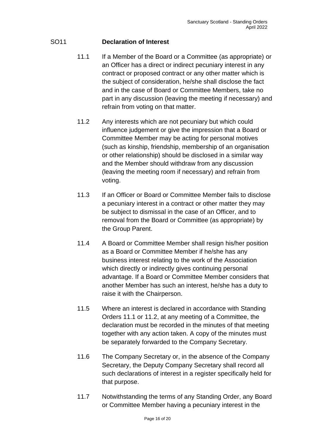#### SO11 **Declaration of Interest**

- 11.1 If a Member of the Board or a Committee (as appropriate) or an Officer has a direct or indirect pecuniary interest in any contract or proposed contract or any other matter which is the subject of consideration, he/she shall disclose the fact and in the case of Board or Committee Members, take no part in any discussion (leaving the meeting if necessary) and refrain from voting on that matter.
- 11.2 Any interests which are not pecuniary but which could influence judgement or give the impression that a Board or Committee Member may be acting for personal motives (such as kinship, friendship, membership of an organisation or other relationship) should be disclosed in a similar way and the Member should withdraw from any discussion (leaving the meeting room if necessary) and refrain from voting.
- 11.3 If an Officer or Board or Committee Member fails to disclose a pecuniary interest in a contract or other matter they may be subject to dismissal in the case of an Officer, and to removal from the Board or Committee (as appropriate) by the Group Parent.
- 11.4 A Board or Committee Member shall resign his/her position as a Board or Committee Member if he/she has any business interest relating to the work of the Association which directly or indirectly gives continuing personal advantage. If a Board or Committee Member considers that another Member has such an interest, he/she has a duty to raise it with the Chairperson.
- 11.5 Where an interest is declared in accordance with Standing Orders 11.1 or 11.2, at any meeting of a Committee, the declaration must be recorded in the minutes of that meeting together with any action taken. A copy of the minutes must be separately forwarded to the Company Secretary.
- 11.6 The Company Secretary or, in the absence of the Company Secretary, the Deputy Company Secretary shall record all such declarations of interest in a register specifically held for that purpose.
- 11.7 Notwithstanding the terms of any Standing Order, any Board or Committee Member having a pecuniary interest in the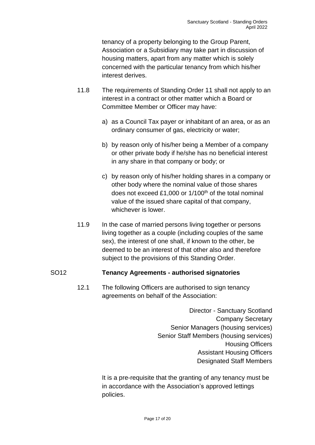tenancy of a property belonging to the Group Parent, Association or a Subsidiary may take part in discussion of housing matters, apart from any matter which is solely concerned with the particular tenancy from which his/her interest derives.

- 11.8 The requirements of Standing Order 11 shall not apply to an interest in a contract or other matter which a Board or Committee Member or Officer may have:
	- a) as a Council Tax payer or inhabitant of an area, or as an ordinary consumer of gas, electricity or water;
	- b) by reason only of his/her being a Member of a company or other private body if he/she has no beneficial interest in any share in that company or body; or
	- c) by reason only of his/her holding shares in a company or other body where the nominal value of those shares does not exceed £1,000 or 1/100<sup>th</sup> of the total nominal value of the issued share capital of that company, whichever is lower.
- 11.9 In the case of married persons living together or persons living together as a couple (including couples of the same sex), the interest of one shall, if known to the other, be deemed to be an interest of that other also and therefore subject to the provisions of this Standing Order.

#### SO12 **Tenancy Agreements - authorised signatories**

12.1 The following Officers are authorised to sign tenancy agreements on behalf of the Association:

> Director - Sanctuary Scotland Company Secretary Senior Managers (housing services) Senior Staff Members (housing services) Housing Officers Assistant Housing Officers Designated Staff Members

It is a pre-requisite that the granting of any tenancy must be in accordance with the Association's approved lettings policies.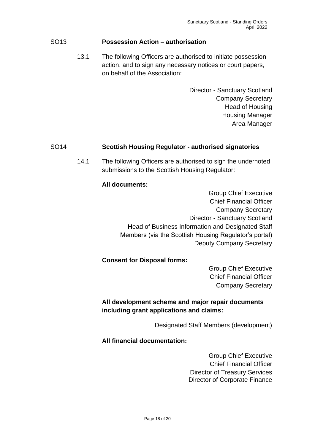#### SO13 **Possession Action – authorisation**

13.1 The following Officers are authorised to initiate possession action, and to sign any necessary notices or court papers, on behalf of the Association:

> Director - Sanctuary Scotland Company Secretary Head of Housing Housing Manager Area Manager

#### SO14 **Scottish Housing Regulator - authorised signatories**

14.1 The following Officers are authorised to sign the undernoted submissions to the Scottish Housing Regulator:

#### **All documents:**

Group Chief Executive Chief Financial Officer Company Secretary Director - Sanctuary Scotland Head of Business Information and Designated Staff Members (via the Scottish Housing Regulator's portal) Deputy Company Secretary

#### **Consent for Disposal forms:**

Group Chief Executive Chief Financial Officer Company Secretary

**All development scheme and major repair documents including grant applications and claims:**

Designated Staff Members (development)

#### **All financial documentation:**

Group Chief Executive Chief Financial Officer Director of Treasury Services Director of Corporate Finance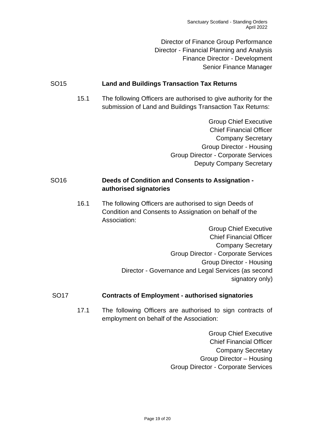Director of Finance Group Performance Director - Financial Planning and Analysis Finance Director - Development Senior Finance Manager

#### SO15 **Land and Buildings Transaction Tax Returns**

15.1 The following Officers are authorised to give authority for the submission of Land and Buildings Transaction Tax Returns:

> Group Chief Executive Chief Financial Officer Company Secretary Group Director - Housing Group Director - Corporate Services Deputy Company Secretary

#### SO16 **Deeds of Condition and Consents to Assignation authorised signatories**

16.1 The following Officers are authorised to sign Deeds of Condition and Consents to Assignation on behalf of the Association:

> Group Chief Executive Chief Financial Officer Company Secretary Group Director - Corporate Services Group Director - Housing Director - Governance and Legal Services (as second signatory only)

#### SO17 **Contracts of Employment - authorised signatories**

17.1 The following Officers are authorised to sign contracts of employment on behalf of the Association:

> Group Chief Executive Chief Financial Officer Company Secretary Group Director – Housing Group Director - Corporate Services